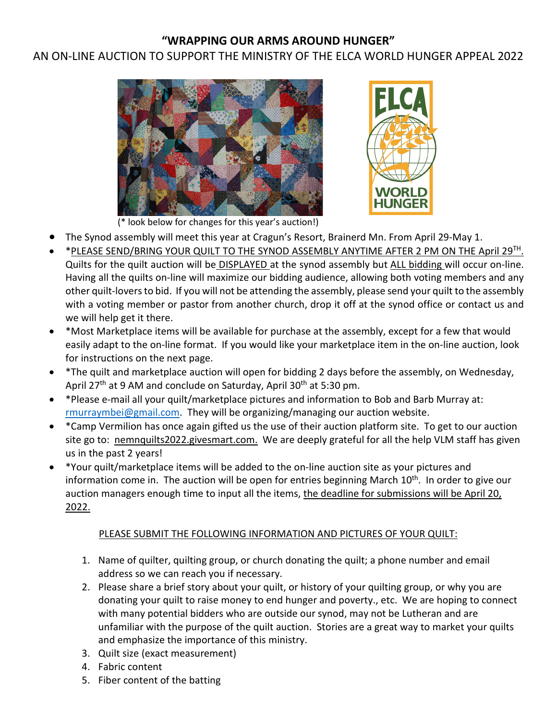# **"WRAPPING OUR ARMS AROUND HUNGER"**

# AN ON-LINE AUCTION TO SUPPORT THE MINISTRY OF THE ELCA WORLD HUNGER APPEAL 2022





(\* look below for changes for this year's auction!)

- The Synod assembly will meet this year at Cragun's Resort, Brainerd Mn. From April 29-May 1.
- \*PLEASE SEND/BRING YOUR QUILT TO THE SYNOD ASSEMBLY ANYTIME AFTER 2 PM ON THE April 29TH. Quilts for the quilt auction will be DISPLAYED at the synod assembly but ALL bidding will occur on-line. Having all the quilts on-line will maximize our bidding audience, allowing both voting members and any other quilt-lovers to bid. If you will not be attending the assembly, please send your quilt to the assembly with a voting member or pastor from another church, drop it off at the synod office or contact us and we will help get it there.
- \*Most Marketplace items will be available for purchase at the assembly, except for a few that would easily adapt to the on-line format. If you would like your marketplace item in the on-line auction, look for instructions on the next page.
- \*The quilt and marketplace auction will open for bidding 2 days before the assembly, on Wednesday, April 27<sup>th</sup> at 9 AM and conclude on Saturday, April 30<sup>th</sup> at 5:30 pm.
- \*Please e-mail all your quilt/marketplace pictures and information to Bob and Barb Murray at: [rmurraymbei@gmail.com.](mailto:rmurraymbei@gmail.com) They will be organizing/managing our auction website.
- \*Camp Vermilion has once again gifted us the use of their auction platform site. To get to our auction site go to: nemnquilts2022.givesmart.com. We are deeply grateful for all the help VLM staff has given us in the past 2 years!
- \*Your quilt/marketplace items will be added to the on-line auction site as your pictures and information come in. The auction will be open for entries beginning March 10<sup>th</sup>. In order to give our auction managers enough time to input all the items, the deadline for submissions will be April 20, 2022.

#### PLEASE SUBMIT THE FOLLOWING INFORMATION AND PICTURES OF YOUR QUILT:

- 1. Name of quilter, quilting group, or church donating the quilt; a phone number and email address so we can reach you if necessary.
- 2. Please share a brief story about your quilt, or history of your quilting group, or why you are donating your quilt to raise money to end hunger and poverty., etc. We are hoping to connect with many potential bidders who are outside our synod, may not be Lutheran and are unfamiliar with the purpose of the quilt auction. Stories are a great way to market your quilts and emphasize the importance of this ministry.
- 3. Quilt size (exact measurement)
- 4. Fabric content
- 5. Fiber content of the batting